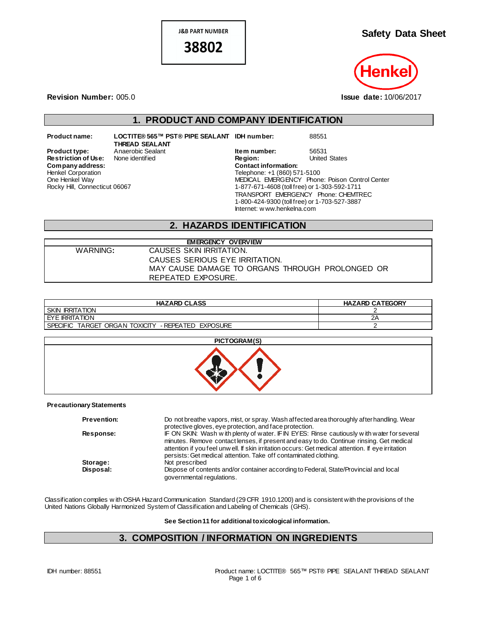**J&B PART NUMBER** 38802

**Safety Data Sheet**



**Revision Number:** 005.0 **Issue date:** 10/06/2017

## **1. PRODUCT AND COMPANY IDENTIFICATION**

 $Company address:$ Henkel Corporation One Henkel Way Rocky Hill, Connecticut 06067

**Product name: LOCTITE® 565™ PST® PIPE SEALANT IDH number:** 88551 **THREAD SEALANT Restriction of Use:** None identified **Region:** Region: Region: United States Contact information:

**Product type:** Anaerobic Sealant **Item number:** 56531<br> **Restriction of Use:** None identified **Integral Construct Construct Construct** Construct Chates Telephone: +1 (860) 571-5100 MEDICAL EMERGENCY Phone: Poison Control Center 1-877-671-4608 (toll free) or 1-303-592-1711 TRANSPORT EMERGENCY Phone: CHEMTREC 1-800-424-9300 (toll free) or 1-703-527-3887 Internet: w ww.henkelna.com

#### **2. HAZARDS IDENTIFICATION**

| <b>EMERGENCY OVERVIEW</b> |                                                 |  |  |
|---------------------------|-------------------------------------------------|--|--|
| WARNING:                  | CAUSES SKIN IRRITATION.                         |  |  |
|                           | CAUSES SERIOUS EYE IRRITATION.                  |  |  |
|                           | MAY CAUSE DAMAGE TO ORGANS THROUGH PROLONGED OR |  |  |
|                           | REPEATED EXPOSURE.                              |  |  |

| <b>HAZARD CLASS</b>                                     | <b>HAZARD CATEGORY</b> |
|---------------------------------------------------------|------------------------|
| <b>SKIN IRRITATION</b>                                  |                        |
| <b>LEYE IRRITATION</b>                                  | c.                     |
| I SPECIFIC TARGET ORGAN TOXICITY<br>- REPEATED EXPOSURE |                        |

# **PICTOGRAM(S)**

#### **Precautionary Statements**

| <b>Prevention:</b> | Do not breathe vapors, mist, or spray. Wash affected area thoroughly after handling. Wear<br>protective gloves, eye protection, and face protection.                                                                                                                                                                                                             |
|--------------------|------------------------------------------------------------------------------------------------------------------------------------------------------------------------------------------------------------------------------------------------------------------------------------------------------------------------------------------------------------------|
| Response:          | IF ON SKIN: Wash with plenty of water. IF IN EYES: Rinse cautiously with water for several<br>minutes. Remove contact lenses, if present and easy to do. Continue rinsing. Get medical<br>attention if you feel unw ell. If skin irritation occurs: Get medical attention. If eye irritation<br>persists: Get medical attention. Take off contaminated clothing. |
| Storage:           | Not prescribed                                                                                                                                                                                                                                                                                                                                                   |
| Disposal:          | Dispose of contents and/or container according to Federal, State/Provincial and local<br>governmental regulations.                                                                                                                                                                                                                                               |

Classification complies w ith OSHA Hazard Communication Standard (29 CFR 1910.1200) and is consistent with the provisions of the United Nations Globally Harmonized System of Classification and Labeling of Chemicals (GHS).

**See Section 11 for additional toxicological information.**

#### **3. COMPOSITION / INFORMATION ON INGREDIENTS**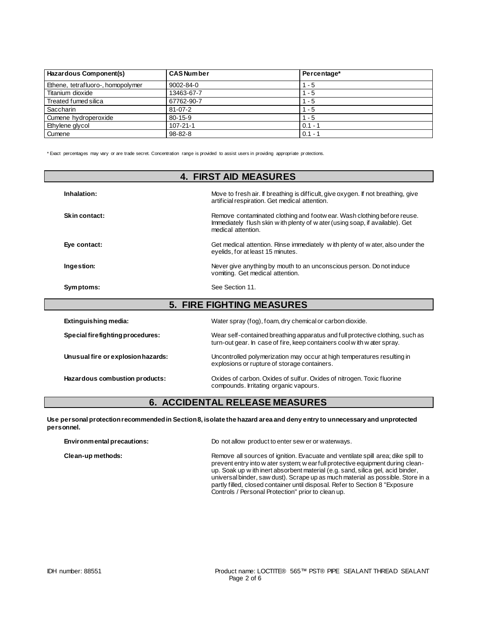| Hazardous Component(s)            | <b>CAS Number</b> | Percentage* |
|-----------------------------------|-------------------|-------------|
| Ethene, tetrafluoro-, homopolymer | 9002-84-0         | $1 - 5$     |
| Titanium dioxide                  | 13463-67-7        | $1 - 5$     |
| Treated fumed silica              | 67762-90-7        | $1 - 5$     |
| Saccharin                         | $81 - 07 - 2$     | $1 - 5$     |
| Cumene hydroperoxide              | $80 - 15 - 9$     | $1 - 5$     |
| Ethylene glycol                   | $107 - 21 - 1$    | $0.1 - 7$   |
| Cumene                            | $98 - 82 - 8$     | $0.1 -$     |

\* Exact percentages may vary or are trade secret. Concentration range is provided to assist users in providing appropriate pr otections.

| <b>4. FIRST AID MEASURES</b>       |                                                                                                                                                                               |  |  |
|------------------------------------|-------------------------------------------------------------------------------------------------------------------------------------------------------------------------------|--|--|
| Inhalation:                        | Move to fresh air. If breathing is difficult, give oxygen. If not breathing, give<br>artificial respiration. Get medical attention.                                           |  |  |
| Skin contact:                      | Remove contaminated clothing and footwear. Wash clothing before reuse.<br>Immediately flush skin w ith plenty of w ater (using soap, if available). Get<br>medical attention. |  |  |
| Eye contact:                       | Get medical attention. Rinse immediately with plenty of water, also under the<br>eyelids, for at least 15 minutes.                                                            |  |  |
| Ingestion:                         | Never give anything by mouth to an unconscious person. Do not induce<br>vomiting. Get medical attention.                                                                      |  |  |
| Symptoms:                          | See Section 11.                                                                                                                                                               |  |  |
|                                    | <b>5. FIRE FIGHTING MEASURES</b>                                                                                                                                              |  |  |
| Extinguishing media:               | Water spray (fog), foam, dry chemical or carbon dioxide.                                                                                                                      |  |  |
| Special firefighting procedures:   | Wear self-contained breathing apparatus and full protective clothing, such as<br>turn-out gear. In case of fire, keep containers cool with water spray.                       |  |  |
| Unusual fire or explosion hazards: | Uncontrolled polymerization may occur at high temperatures resulting in<br>explosions or rupture of storage containers.                                                       |  |  |
| Hazardous combustion products:     | Oxides of carbon. Oxides of sulfur. Oxides of nitrogen. Toxic fluorine<br>compounds. Irritating organic vapours.                                                              |  |  |

## **6. ACCIDENTAL RELEASE MEASURES**

**Use personal protection recommended in Section 8, isolate the hazard area and deny entry to unnecessary and unprotected personnel.**

| Environmental precautions: | Do not allow product to enter sew er or waterways.                                                                                                                                                                                                                                                                                                                                                                                                                              |  |  |
|----------------------------|---------------------------------------------------------------------------------------------------------------------------------------------------------------------------------------------------------------------------------------------------------------------------------------------------------------------------------------------------------------------------------------------------------------------------------------------------------------------------------|--|--|
| Clean-up methods:          | Remove all sources of ignition. Evacuate and ventilate spill area; dike spill to<br>prevent entry into w ater system; w ear full protective equipment during clean-<br>up. Soak up w ith inert absorbent material (e.g. sand, silica gel, acid binder,<br>universal binder, saw dust). Scrape up as much material as possible. Store in a<br>partly filled, closed container until disposal. Refer to Section 8 "Exposure<br>Controls / Personal Protection" prior to clean up. |  |  |
|                            |                                                                                                                                                                                                                                                                                                                                                                                                                                                                                 |  |  |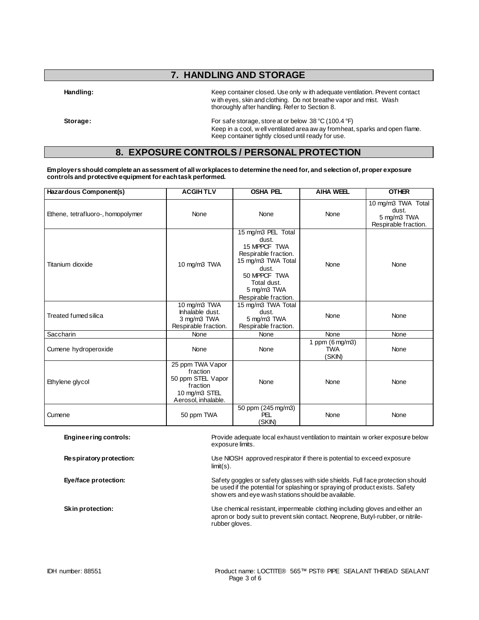# **7. HANDLING AND STORAGE**

**Handling:** Keep container closed. Use only w ith adequate ventilation. Prevent contact w ith eyes, skin and clothing. Do not breathe vapor and mist. Wash thoroughly after handling. Refer to Section 8.

**Storage:** For safe storage, store at or below 38 °C (100.4 °F) Keep in a cool, w ell ventilated area aw ay from heat, sparks and open flame. Keep container tightly closed until ready for use.

#### **8. EXPOSURE CONTROLS / PERSONAL PROTECTION**

**Employers should complete an assessment of all workplaces to determine the need for, and selection of, proper exposure controls and protective equipment for each task performed.**

| Hazardous Component(s)            | <b>ACGIHTLV</b>                                                                                                                                                                          | <b>OSHA PEL</b>                                                    | <b>AIHA WEEL</b>                                  | <b>OTHER</b>                                                       |
|-----------------------------------|------------------------------------------------------------------------------------------------------------------------------------------------------------------------------------------|--------------------------------------------------------------------|---------------------------------------------------|--------------------------------------------------------------------|
| Ethene, tetrafluoro-, homopolymer | None                                                                                                                                                                                     | None<br>None                                                       |                                                   | 10 mg/m3 TWA Total<br>dust.<br>5 mg/m3 TWA<br>Respirable fraction. |
| Titanium dioxide                  | 15 mg/m3 PEL Total<br>dust.<br>15 MPPCF TWA<br>Respirable fraction.<br>15 mg/m3 TWA Total<br>10 mg/m3 TWA<br>dust.<br>50 MPPCF TWA<br>Total dust.<br>5 mg/m3 TWA<br>Respirable fraction. |                                                                    | None                                              | None                                                               |
| <b>Treated fumed silica</b>       | 10 mg/m3 TWA<br>Inhalable dust.<br>3 mg/m3 TWA<br>Respirable fraction.                                                                                                                   | 15 mg/m3 TWA Total<br>dust.<br>5 mg/m3 TWA<br>Respirable fraction. | None                                              | None                                                               |
| Saccharin                         | None                                                                                                                                                                                     | None                                                               | None                                              | None                                                               |
| Cumene hydroperoxide              | None                                                                                                                                                                                     | None                                                               | 1 ppm $(6 \text{ mg/m3})$<br><b>TWA</b><br>(SKIN) | None                                                               |
| Ethylene glycol                   | 25 ppm TWA Vapor<br>fraction<br>50 ppm STEL Vapor<br>fraction<br>10 mg/m3 STEL<br>Aerosol, inhalable.                                                                                    | None                                                               | None                                              | None                                                               |
| Cumene                            | 50 ppm TWA                                                                                                                                                                               | 50 ppm (245 mg/m3)<br>PEL<br>(SKIN)                                | None                                              | None                                                               |

**Engineering controls:** Provide adequate local exhaust ventilation to maintain w orker exposure below exposure limits.

**Respiratory protection:** Use NIOSH approved respirator if there is potential to exceed exposure limit(s).

Eye/face protection: Safety goggles or safety glasses with side shields. Full face protection should be used if the potential for splashing or spraying of product exists. Safety show ers and eye wash stations should be available.

**Skin protection:** Use chemical resistant, impermeable clothing including gloves and either an apron or body suit to prevent skin contact. Neoprene, Butyl-rubber, or nitrilerubber gloves.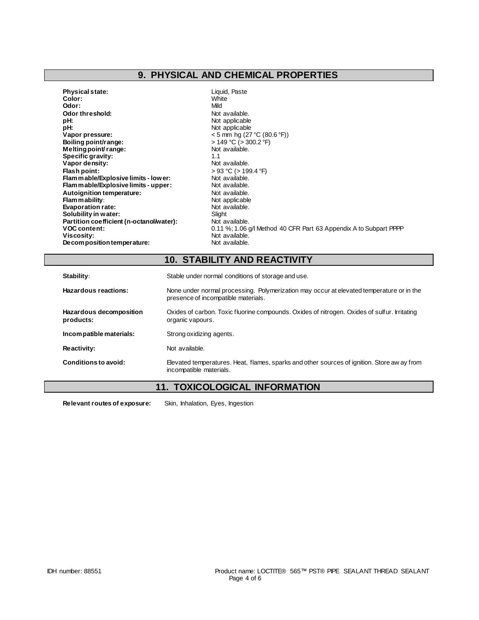## **9. PHYSICAL AND CHEMICAL PROPERTIES**

| <b>Physical state:</b>                   | Liquid, Paste                                                     |
|------------------------------------------|-------------------------------------------------------------------|
| Color:                                   | White                                                             |
| Odor:                                    | Mild                                                              |
| Odor threshold:                          | Not available.                                                    |
| pH:                                      | Not applicable                                                    |
| pH:                                      | Not applicable                                                    |
| Vapor pressure:                          | $<$ 5 mm hg (27 °C (80.6 °F))                                     |
| Boiling point/range:                     | > 149 °C (> 300.2 °F)                                             |
| Melting point range:                     | Not available.                                                    |
| Specific gravity:                        | 1.1                                                               |
| Vapor density:                           | Not available.                                                    |
| Flash point:                             | > 93 °C (> 199.4 °F)                                              |
| Flam mable/Explosive limits - low er:    | Not available.                                                    |
| Flam mable/Explosive limits - upper:     | Not available.                                                    |
| Autoignition temperature:                | Not available.                                                    |
| Flammability:                            | Not applicable                                                    |
| <b>Evaporation rate:</b>                 | Not available.                                                    |
| Solubility in water:                     | Slight                                                            |
| Partition coefficient (n-octanol/water): | Not available.                                                    |
| <b>VOC content:</b>                      | 0.11 %; 1.06 g/l Method 40 CFR Part 63 Appendix A to Subpart PPPP |
| Viscosity:                               | Not available.                                                    |
| Decomposition temperature:               | Not available.                                                    |

## **10. STABILITY AND REACTIVITY**

| Stability:                           | Stable under normal conditions of storage and use.                                                                              |  |  |
|--------------------------------------|---------------------------------------------------------------------------------------------------------------------------------|--|--|
| Hazardous reactions:                 | None under normal processing. Polymerization may occur at elevated temperature or in the<br>presence of incompatible materials. |  |  |
| Hazardous decomposition<br>products: | Oxides of carbon. Toxic fluorine compounds. Oxides of nitrogen. Oxides of sulfur. Irritating<br>organic vapours.                |  |  |
| Incompatible materials:              | Strong oxidizing agents.                                                                                                        |  |  |
| Reactivity:                          | Not available.                                                                                                                  |  |  |
| Conditions to avoid:                 | Elevated temperatures. Heat, flames, sparks and other sources of ignition. Store aw ay from<br>incompatible materials.          |  |  |

## **11. TOXICOLOGICAL INFORMATION**

**Relevant routes of exposure:** Skin, Inhalation, Eyes, Ingestion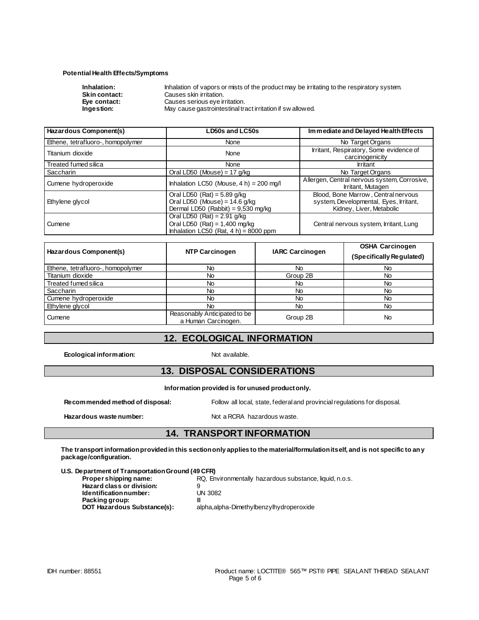#### **Potential Health Effects/Symptoms**

| Inhalation:          | Inhalation of vapors or mists of the product may be irritating to the respiratory system. |
|----------------------|-------------------------------------------------------------------------------------------|
| <b>Skin contact:</b> | Causes skin irritation.                                                                   |
| Eve contact:         | Causes serious eye irritation.                                                            |
| Ingestion:           | May cause gastrointestinal tract irritation if sw allowed.                                |

| Hazardous Component(s)                                                                                                      | LD50s and LC50s                            | Immediate and Delayed Health Effects                                                                      |  |
|-----------------------------------------------------------------------------------------------------------------------------|--------------------------------------------|-----------------------------------------------------------------------------------------------------------|--|
| Ethene, tetrafluoro-, homopolymer                                                                                           | None                                       | No Target Organs                                                                                          |  |
| Titanium dioxide                                                                                                            | None                                       | Irritant, Respiratory, Some evidence of<br>carcinogenicity                                                |  |
| Treated fumed silica                                                                                                        | None                                       | <b>Irritant</b>                                                                                           |  |
| Saccharin                                                                                                                   | Oral LD50 (Mouse) = $17$ g/kg              | No Target Organs                                                                                          |  |
| Cumene hydroperoxide                                                                                                        | Inhalation LC50 (Mouse, $4 h$ ) = 200 mg/l | Allergen, Central nervous system, Corrosive,<br>Irritant, Mutagen                                         |  |
| Oral LD50 (Rat) = $5.89$ g/kg<br>Oral LD50 (Mouse) = $14.6$ g/kg<br>Ethylene glycol<br>Dermal LD50 (Rabbit) = $9,530$ mg/kg |                                            | Blood, Bone Marrow, Central nervous<br>system, Developmental, Eyes, Irritant,<br>Kidney, Liver, Metabolic |  |
| Oral LD50 $(Rat) = 2.91$ g/kg<br>Oral LD50 (Rat) = $1,400$ mg/kg<br>Cumene<br>Inhalation LC50 (Rat, $4 h$ ) = 8000 ppm      |                                            | Central nervous system, Irritant, Lung                                                                    |  |

| Hazardous Component(s)            | <b>NTP Carcinogen</b>                               | <b>IARC Carcinogen</b> | <b>OSHA Carcinogen</b><br>(Specifically Regulated) |
|-----------------------------------|-----------------------------------------------------|------------------------|----------------------------------------------------|
| Ethene, tetrafluoro-, homopolymer | No                                                  | No                     | <b>No</b>                                          |
| Titanium dioxide                  | No.                                                 | Group 2B               | No                                                 |
| Treated fumed silica              | No                                                  | No                     | No                                                 |
| <b>Saccharin</b>                  | No                                                  | No                     | No                                                 |
| Cumene hydroperoxide              | No                                                  | No                     | No                                                 |
| Ethylene glycol                   | No                                                  | No                     | No.                                                |
| Cumene                            | Reasonably Anticipated to be<br>a Human Carcinogen. | Group 2B               | No                                                 |

## **12. ECOLOGICAL INFORMATION**

**Ecological information:** Not available.

#### **13. DISPOSAL CONSIDERATIONS**

**Information provided is for unused product only.**

**Recommended method of disposal:** Follow all local, state, federal and provincial regulations for disposal.

Hazardous waste number: Not a RCRA hazardous waste.

#### **14. TRANSPORT INFORMATION**

**The transport information provided in this section only applies to the material/formulation itself, and is not specific to any package/configuration.**

#### **U.S. Department of Transportation Ground (49 CFR)**

| Proper shipping name:       | RQ, Environmentally hazardous substance, liquid, n.o.s. |
|-----------------------------|---------------------------------------------------------|
| Hazard class or division:   |                                                         |
| Identification number:      | <b>UN 3082</b>                                          |
| Packing group:              |                                                         |
| DOT Hazardous Substance(s): | alpha, alpha-Dimethylbenzylhydroperoxide                |